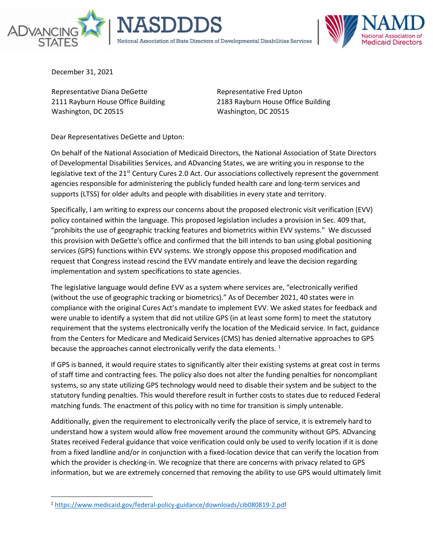



December 31, 2021

Representative Diana DeGette 2111 Rayburn House Office Building Washington, DC 20515

Representative Fred Upton 2183 Rayburn House Office Building Washington, DC 20515

Dear Representatives DeGette and Upton:

On behalf of the National Association of Medicaid Directors, the National Association of State Directors of Developmental Disabilities Services, and ADvancing States, we are writing you in response to the legislative text of the  $21<sup>st</sup>$  Century Cures 2.0 Act. Our associations collectively represent the government agencies responsible for administering the publicly funded health care and long-term services and supports (LTSS) for older adults and people with disabilities in every state and territory.

Specifically, I am writing to express our concerns about the proposed electronic visit verification (EVV) policy contained within the language. This proposed legislation includes a provision in Sec. 409 that, "prohibits the use of geographic tracking features and biometrics within EVV systems." We discussed this provision with DeGette's office and confirmed that the bill intends to ban using global positioning services (GPS) functions within EVV systems. We strongly oppose this proposed modification and request that Congress instead rescind the EVV mandate entirely and leave the decision regarding implementation and system specifications to state agencies.

The legislative language would define EVV as a system where services are, "electronically verified (without the use of geographic tracking or biometrics)." As of December 2021, 40 states were in compliance with the original Cures Act's mandate to implement EVV. We asked states for feedback and were unable to identify a system that did not utilize GPS (in at least some form) to meet the statutory requirement that the systems electronically verify the location of the Medicaid service. In fact, guidance from the Centers for Medicare and Medicaid Services (CMS) has denied alternative approaches to GPS because the approaches cannot electronically verify the data elements.  $^1$  $^1$ 

If GPS is banned, it would require states to significantly alter their existing systems at great cost in terms of staff time and contracting fees. The policy also does not alter the funding penalties for noncompliant systems, so any state utilizing GPS technology would need to disable their system and be subject to the statutory funding penalties. This would therefore result in further costs to states due to reduced Federal matching funds. The enactment of this policy with no time for transition is simply untenable.

Additionally, given the requirement to electronically verify the place of service, it is extremely hard to understand how a system would allow free movement around the community without GPS. ADvancing States received Federal guidance that voice verification could only be used to verify location if it is done from a fixed landline and/or in conjunction with a fixed-location device that can verify the location from which the provider is checking-in. We recognize that there are concerns with privacy related to GPS information, but we are extremely concerned that removing the ability to use GPS would ultimately limit

<span id="page-0-0"></span><sup>1</sup> <https://www.medicaid.gov/federal-policy-guidance/downloads/cib080819-2.pdf>